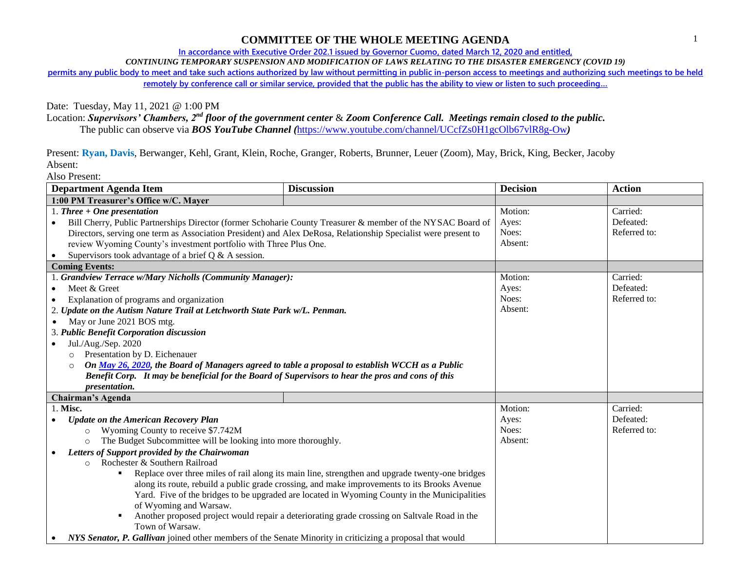## **COMMITTEE OF THE WHOLE MEETING AGENDA**

**In accordance with Executive Order 202.1 issued by Governor Cuomo, dated March 12, 2020 and entitled,**

*CONTINUING TEMPORARY SUSPENSION AND MODIFICATION OF LAWS RELATING TO THE DISASTER EMERGENCY (COVID 19)*

**permits any public body to meet and take such actions authorized by law without permitting in public in-person access to meetings and authorizing such meetings to be held remotely by conference call or similar service, provided that the public has the ability to view or listen to such proceeding…**

Date: Tuesday, May 11, 2021 @ 1:00 PM

Location: *Supervisors' Chambers, 2nd floor of the government center* & *Zoom Conference Call. Meetings remain closed to the public.*

The public can observe via *BOS YouTube Channel (*<https://www.youtube.com/channel/UCcfZs0H1gcOlb67vlR8g-Ow>*)*

Present: **Ryan, Davis**, Berwanger, Kehl, Grant, Klein, Roche, Granger, Roberts, Brunner, Leuer (Zoom), May, Brick, King, Becker, Jacoby Absent:

Also Present:

| <b>Department Agenda Item</b>                                                                                          | <b>Discussion</b> | <b>Decision</b> | <b>Action</b> |
|------------------------------------------------------------------------------------------------------------------------|-------------------|-----------------|---------------|
| 1:00 PM Treasurer's Office w/C. Mayer                                                                                  |                   |                 |               |
| 1. Three $+$ One presentation                                                                                          |                   | Motion:         | Carried:      |
| Bill Cherry, Public Partnerships Director (former Schoharie County Treasurer & member of the NYSAC Board of            |                   | Ayes:           | Defeated:     |
| Directors, serving one term as Association President) and Alex DeRosa, Relationship Specialist were present to         |                   | Noes:           | Referred to:  |
| review Wyoming County's investment portfolio with Three Plus One.                                                      |                   | Absent:         |               |
| Supervisors took advantage of a brief $Q & A$ session.<br>$\bullet$                                                    |                   |                 |               |
| <b>Coming Events:</b>                                                                                                  |                   |                 |               |
| 1. Grandview Terrace w/Mary Nicholls (Community Manager):                                                              |                   | Motion:         | Carried:      |
| Meet & Greet                                                                                                           |                   | Ayes:           | Defeated:     |
| Explanation of programs and organization                                                                               |                   | Noes:           | Referred to:  |
| 2. Update on the Autism Nature Trail at Letchworth State Park w/L. Penman.                                             |                   | Absent:         |               |
| May or June 2021 BOS mtg.                                                                                              |                   |                 |               |
| 3. Public Benefit Corporation discussion                                                                               |                   |                 |               |
| Jul./Aug./Sep. 2020<br>$\bullet$                                                                                       |                   |                 |               |
| Presentation by D. Eichenauer<br>$\circ$                                                                               |                   |                 |               |
| On May 26, 2020, the Board of Managers agreed to table a proposal to establish WCCH as a Public<br>$\circ$             |                   |                 |               |
| Benefit Corp. It may be beneficial for the Board of Supervisors to hear the pros and cons of this                      |                   |                 |               |
| <i>presentation.</i>                                                                                                   |                   |                 |               |
| <b>Chairman's Agenda</b>                                                                                               |                   |                 |               |
| 1. Misc.                                                                                                               |                   | Motion:         | Carried:      |
| <b>Update on the American Recovery Plan</b>                                                                            |                   | Ayes:           | Defeated:     |
| Wyoming County to receive \$7.742M<br>$\circ$                                                                          |                   | Noes:           | Referred to:  |
| The Budget Subcommittee will be looking into more thoroughly.<br>$\circ$                                               |                   | Absent:         |               |
| Letters of Support provided by the Chairwoman                                                                          |                   |                 |               |
| Rochester & Southern Railroad<br>$\Omega$                                                                              |                   |                 |               |
| Replace over three miles of rail along its main line, strengthen and upgrade twenty-one bridges                        |                   |                 |               |
| along its route, rebuild a public grade crossing, and make improvements to its Brooks Avenue                           |                   |                 |               |
| Yard. Five of the bridges to be upgraded are located in Wyoming County in the Municipalities                           |                   |                 |               |
| of Wyoming and Warsaw.                                                                                                 |                   |                 |               |
| Another proposed project would repair a deteriorating grade crossing on Saltvale Road in the                           |                   |                 |               |
| Town of Warsaw.                                                                                                        |                   |                 |               |
| NYS Senator, P. Gallivan joined other members of the Senate Minority in criticizing a proposal that would<br>$\bullet$ |                   |                 |               |